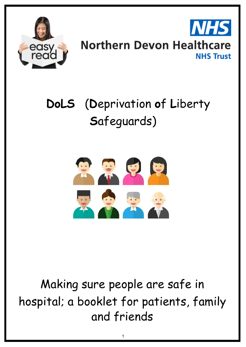

# **Northern Devon Healthcare NHS Trust**

# **DoLS** (**D**eprivation **o**f **L**iberty **S**afeguards)



Making sure people are safe in hospital; a booklet for patients, family and friends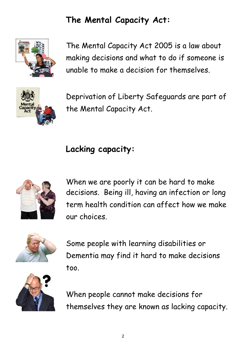# **The Mental Capacity Act:**



The Mental Capacity Act 2005 is a law about making decisions and what to do if someone is unable to make a decision for themselves.



Deprivation of Liberty Safeguards are part of the Mental Capacity Act.

# **Lacking capacity:**



When we are poorly it can be hard to make decisions. Being ill, having an infection or long term health condition can affect how we make our choices.



Some people with learning disabilities or Dementia may find it hard to make decisions too.



When people cannot make decisions for themselves they are known as lacking capacity.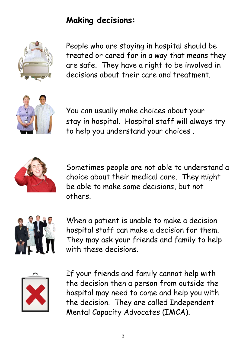#### **Making decisions:**



People who are staying in hospital should be treated or cared for in a way that means they are safe. They have a right to be involved in decisions about their care and treatment.



You can usually make choices about your stay in hospital. Hospital staff will always try to help you understand your choices .



Sometimes people are not able to understand a choice about their medical care. They might be able to make some decisions, but not others.



When a patient is unable to make a decision hospital staff can make a decision for them. They may ask your friends and family to help with these decisions.



If your friends and family cannot help with the decision then a person from outside the hospital may need to come and help you with the decision. They are called Independent Mental Capacity Advocates (IMCA).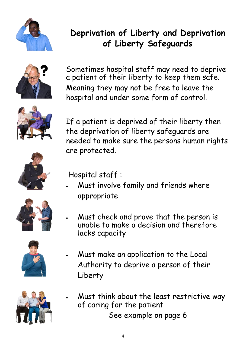

## **Deprivation of Liberty and Deprivation of Liberty Safeguards**



Sometimes hospital staff may need to deprive a patient of their liberty to keep them safe. Meaning they may not be free to leave the hospital and under some form of control.



If a patient is deprived of their liberty then the deprivation of liberty safeguards are needed to make sure the persons human rights are protected.





Hospital staff :

- Must involve family and friends where appropriate
- Must check and prove that the person is unable to make a decision and therefore lacks capacity



 Must make an application to the Local Authority to deprive a person of their Liberty



 Must think about the least restrictive way of caring for the patient See example on page 6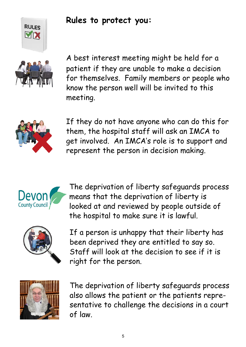

#### **Rules to protect you:**



A best interest meeting might be held for a patient if they are unable to make a decision for themselves. Family members or people who know the person well will be invited to this meeting.



If they do not have anyone who can do this for them, the hospital staff will ask an IMCA to get involved. An IMCA's role is to support and represent the person in decision making.



The deprivation of liberty safeguards process means that the deprivation of liberty is looked at and reviewed by people outside of the hospital to make sure it is lawful.



If a person is unhappy that their liberty has been deprived they are entitled to say so. Staff will look at the decision to see if it is right for the person.



The deprivation of liberty safeguards process also allows the patient or the patients representative to challenge the decisions in a court of law.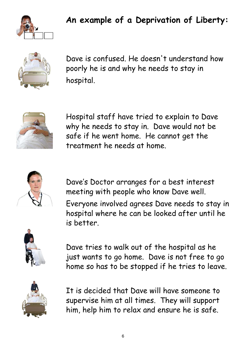

#### **An example of a Deprivation of Liberty:**



Dave is confused. He doesn't understand how poorly he is and why he needs to stay in hospital.



Hospital staff have tried to explain to Dave why he needs to stay in. Dave would not be safe if he went home. He cannot get the treatment he needs at home.



Dave's Doctor arranges for a best interest meeting with people who know Dave well. Everyone involved agrees Dave needs to stay in hospital where he can be looked after until he is better.



Dave tries to walk out of the hospital as he just wants to go home. Dave is not free to go home so has to be stopped if he tries to leave.



It is decided that Dave will have someone to supervise him at all times. They will support him, help him to relax and ensure he is safe.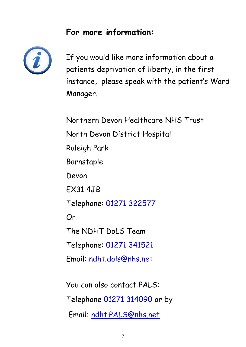#### **For more information:**



If you would like more information about a patients deprivation of liberty, in the first instance, please speak with the patient's Ward Manager.

Northern Devon Healthcare NHS Trust North Devon District Hospital Raleigh Park Barnstaple Devon EX31 4JB Telephone: 01271 322577 Or The NDHT DoLS Team Telephone: 01271 341512 Email: ndht.dols@nhs.net You can also contact PALS:

Telephone 01271 314090 or by

Email: [ndht.PALS@nhs.net](mailto:ndht.PALS@nhs.net)